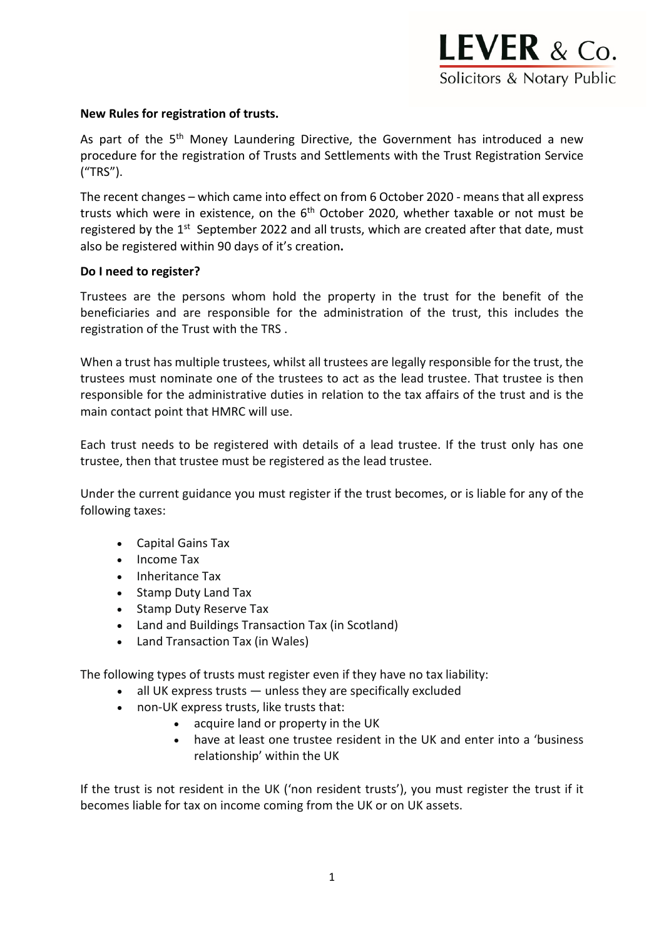

#### **New Rules for registration of trusts.**

As part of the 5<sup>th</sup> Money Laundering Directive, the Government has introduced a new procedure for the registration of Trusts and Settlements with the Trust Registration Service ("TRS").

The recent changes – which came into effect on from 6 October 2020 - means that all express trusts which were in existence, on the  $6<sup>th</sup>$  October 2020, whether taxable or not must be registered by the 1<sup>st</sup> September 2022 and all trusts, which are created after that date, must also be registered within 90 days of it's creation**.**

#### **Do I need to register?**

Trustees are the persons whom hold the property in the trust for the benefit of the beneficiaries and are responsible for the administration of the trust, this includes the registration of the Trust with the TRS .

When a trust has multiple trustees, whilst all trustees are legally responsible for the trust, the trustees must nominate one of the trustees to act as the lead trustee. That trustee is then responsible for the administrative duties in relation to the tax affairs of the trust and is the main contact point that HMRC will use.

Each trust needs to be registered with details of a lead trustee. If the trust only has one trustee, then that trustee must be registered as the lead trustee.

Under the current guidance you must register if the trust becomes, or is liable for any of the following taxes:

- Capital Gains Tax
- Income Tax
- Inheritance Tax
- Stamp Duty Land Tax
- Stamp Duty Reserve Tax
- Land and Buildings Transaction Tax (in Scotland)
- Land Transaction Tax (in Wales)

The following types of trusts must register even if they have no tax liability:

- all UK express trusts unless they are specifically excluded
- non-UK express trusts, like trusts that:
	- acquire land or property in the UK
	- have at least one trustee resident in the UK and enter into a 'business relationship' within the UK

If the trust is not resident in the UK (['non resident trusts'](https://www.gov.uk/guidance/non-resident-trusts)), you must register the trust if it becomes liable for tax on income coming from the UK or on UK assets.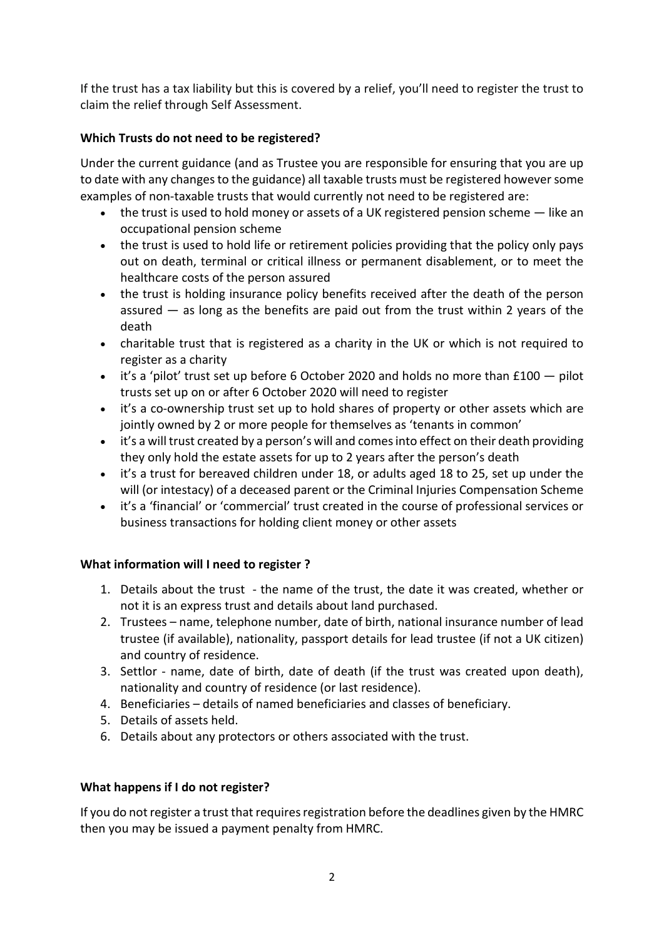If the trust has a tax liability but this is covered by a relief, you'll need to register the trust to claim the relief through Self Assessment.

## **Which Trusts do not need to be registered?**

Under the current guidance (and as Trustee you are responsible for ensuring that you are up to date with any changes to the guidance) all taxable trusts must be registered however some examples of non-taxable trusts that would currently not need to be registered are:

- the trust is used to hold money or assets of a UK registered pension scheme like an occupational pension scheme
- the trust is used to hold life or retirement policies providing that the policy only pays out on death, terminal or critical illness or permanent disablement, or to meet the healthcare costs of the person assured
- the trust is holding insurance policy benefits received after the death of the person assured  $-$  as long as the benefits are paid out from the trust within 2 years of the death
- charitable trust that is registered as a charity in the UK or which is not required to register as a charity
- $\bullet$  it's a 'pilot' trust set up before 6 October 2020 and holds no more than £100  $-$  pilot trusts set up on or after 6 October 2020 will need to register
- it's a co-ownership trust set up to hold shares of property or other assets which are jointly owned by 2 or more people for themselves as 'tenants in common'
- it's a will trust created by a person's will and comes into effect on their death providing they only hold the estate assets for up to 2 years after the person's death
- it's a trust for bereaved children under 18, or adults aged 18 to 25, set up under the will (or intestacy) of a deceased parent or the Criminal Injuries Compensation Scheme
- it's a 'financial' or 'commercial' trust created in the course of professional services or business transactions for holding client money or other assets

# **What information will I need to register ?**

- 1. Details about the trust the name of the trust, the date it was created, whether or not it is an express trust and details about land purchased.
- 2. Trustees name, telephone number, date of birth, national insurance number of lead trustee (if available), nationality, passport details for lead trustee (if not a UK citizen) and country of residence.
- 3. Settlor name, date of birth, date of death (if the trust was created upon death), nationality and country of residence (or last residence).
- 4. Beneficiaries details of named beneficiaries and classes of beneficiary.
- 5. Details of assets held.
- 6. Details about any protectors or others associated with the trust.

# **What happens if I do not register?**

If you do not register a trust that requires registration before the deadlines given by the HMRC then you may be issued a payment penalty from HMRC.